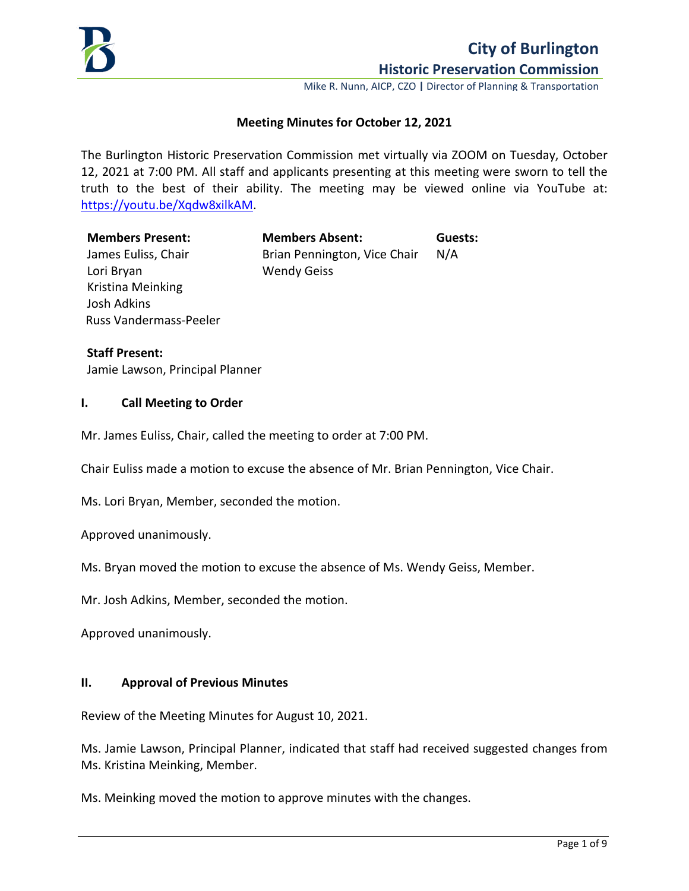

Mike R. Nunn, AICP, CZO **|** Director of Planning & Transportation

## **Meeting Minutes for October 12, 2021**

The Burlington Historic Preservation Commission met virtually via ZOOM on Tuesday, October 12, 2021 at 7:00 PM. All staff and applicants presenting at this meeting were sworn to tell the truth to the best of their ability. The meeting may be viewed online via YouTube at: [https://youtu.be/Xqdw8xilkAM.](https://youtu.be/Xqdw8xilkAM)

Lori Bryan Wendy Geiss Kristina Meinking Josh Adkins Russ Vandermass-Peeler

**Members Present: Members Absent: Guests:** James Euliss, Chair **Brian Pennington, Vice Chair** N/A

**Staff Present:** Jamie Lawson, Principal Planner

### **I. Call Meeting to Order**

Mr. James Euliss, Chair, called the meeting to order at 7:00 PM.

Chair Euliss made a motion to excuse the absence of Mr. Brian Pennington, Vice Chair.

Ms. Lori Bryan, Member, seconded the motion.

Approved unanimously.

Ms. Bryan moved the motion to excuse the absence of Ms. Wendy Geiss, Member.

Mr. Josh Adkins, Member, seconded the motion.

Approved unanimously.

### **II. Approval of Previous Minutes**

Review of the Meeting Minutes for August 10, 2021.

Ms. Jamie Lawson, Principal Planner, indicated that staff had received suggested changes from Ms. Kristina Meinking, Member.

Ms. Meinking moved the motion to approve minutes with the changes.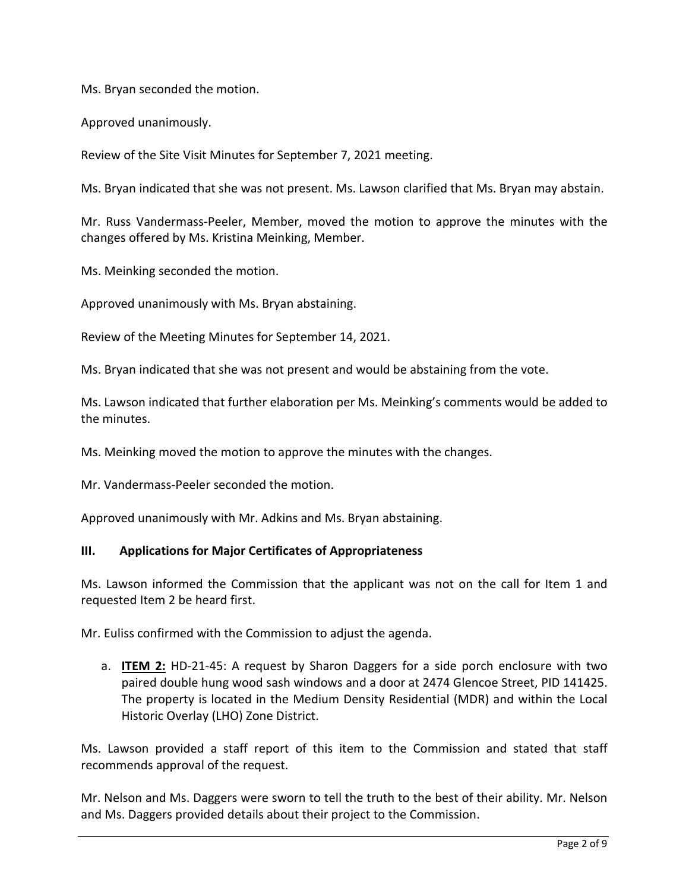Ms. Bryan seconded the motion.

Approved unanimously.

Review of the Site Visit Minutes for September 7, 2021 meeting.

Ms. Bryan indicated that she was not present. Ms. Lawson clarified that Ms. Bryan may abstain.

Mr. Russ Vandermass-Peeler, Member, moved the motion to approve the minutes with the changes offered by Ms. Kristina Meinking, Member.

Ms. Meinking seconded the motion.

Approved unanimously with Ms. Bryan abstaining.

Review of the Meeting Minutes for September 14, 2021.

Ms. Bryan indicated that she was not present and would be abstaining from the vote.

Ms. Lawson indicated that further elaboration per Ms. Meinking's comments would be added to the minutes.

Ms. Meinking moved the motion to approve the minutes with the changes.

Mr. Vandermass-Peeler seconded the motion.

Approved unanimously with Mr. Adkins and Ms. Bryan abstaining.

### **III. Applications for Major Certificates of Appropriateness**

Ms. Lawson informed the Commission that the applicant was not on the call for Item 1 and requested Item 2 be heard first.

Mr. Euliss confirmed with the Commission to adjust the agenda.

a. **ITEM 2:** HD-21-45: A request by Sharon Daggers for a side porch enclosure with two paired double hung wood sash windows and a door at 2474 Glencoe Street, PID 141425. The property is located in the Medium Density Residential (MDR) and within the Local Historic Overlay (LHO) Zone District.

Ms. Lawson provided a staff report of this item to the Commission and stated that staff recommends approval of the request.

Mr. Nelson and Ms. Daggers were sworn to tell the truth to the best of their ability. Mr. Nelson and Ms. Daggers provided details about their project to the Commission.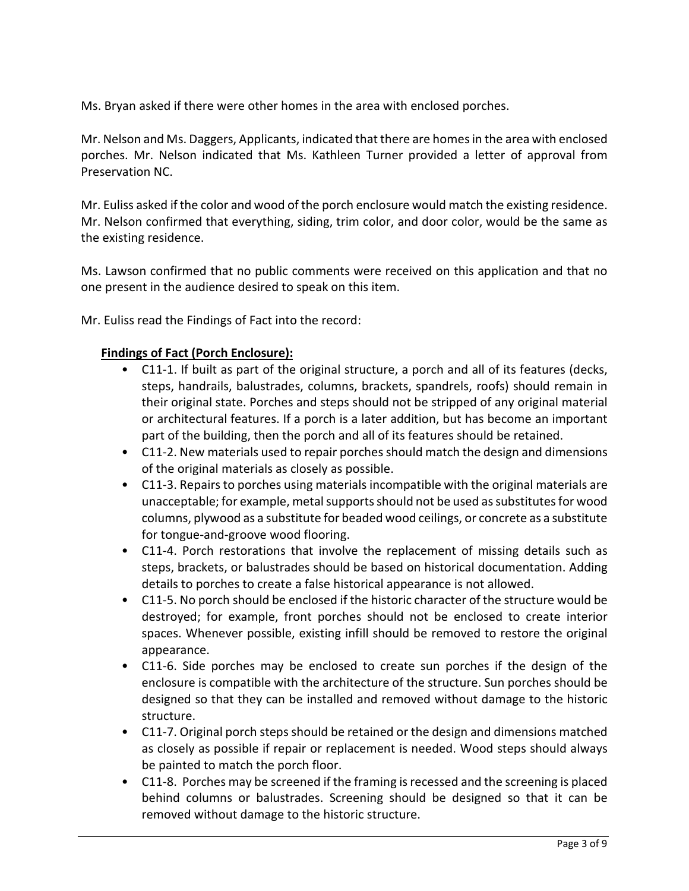Ms. Bryan asked if there were other homes in the area with enclosed porches.

Mr. Nelson and Ms. Daggers, Applicants, indicated that there are homes in the area with enclosed porches. Mr. Nelson indicated that Ms. Kathleen Turner provided a letter of approval from Preservation NC.

Mr. Euliss asked if the color and wood of the porch enclosure would match the existing residence. Mr. Nelson confirmed that everything, siding, trim color, and door color, would be the same as the existing residence.

Ms. Lawson confirmed that no public comments were received on this application and that no one present in the audience desired to speak on this item.

Mr. Euliss read the Findings of Fact into the record:

## **Findings of Fact (Porch Enclosure):**

- C11-1. If built as part of the original structure, a porch and all of its features (decks, steps, handrails, balustrades, columns, brackets, spandrels, roofs) should remain in their original state. Porches and steps should not be stripped of any original material or architectural features. If a porch is a later addition, but has become an important part of the building, then the porch and all of its features should be retained.
- C11-2. New materials used to repair porches should match the design and dimensions of the original materials as closely as possible.
- C11-3. Repairs to porches using materials incompatible with the original materials are unacceptable; for example, metal supports should not be used as substitutes for wood columns, plywood as a substitute for beaded wood ceilings, or concrete as a substitute for tongue-and-groove wood flooring.
- C11-4. Porch restorations that involve the replacement of missing details such as steps, brackets, or balustrades should be based on historical documentation. Adding details to porches to create a false historical appearance is not allowed.
- C11-5. No porch should be enclosed if the historic character of the structure would be destroyed; for example, front porches should not be enclosed to create interior spaces. Whenever possible, existing infill should be removed to restore the original appearance.
- C11-6. Side porches may be enclosed to create sun porches if the design of the enclosure is compatible with the architecture of the structure. Sun porches should be designed so that they can be installed and removed without damage to the historic structure.
- C11-7. Original porch steps should be retained or the design and dimensions matched as closely as possible if repair or replacement is needed. Wood steps should always be painted to match the porch floor.
- C11-8. Porches may be screened if the framing is recessed and the screening is placed behind columns or balustrades. Screening should be designed so that it can be removed without damage to the historic structure.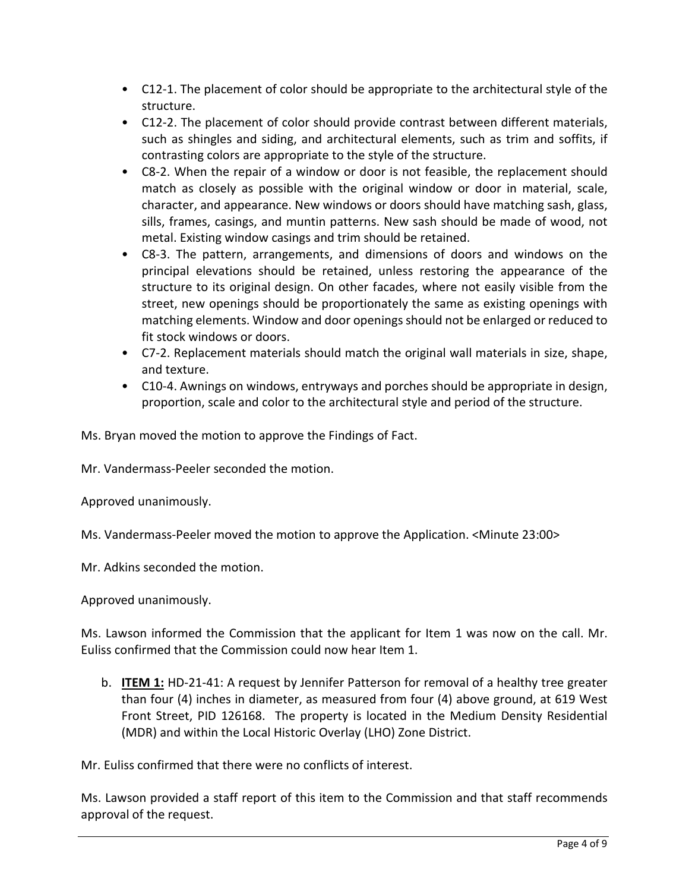- C12-1. The placement of color should be appropriate to the architectural style of the structure.
- C12-2. The placement of color should provide contrast between different materials, such as shingles and siding, and architectural elements, such as trim and soffits, if contrasting colors are appropriate to the style of the structure.
- C8-2. When the repair of a window or door is not feasible, the replacement should match as closely as possible with the original window or door in material, scale, character, and appearance. New windows or doors should have matching sash, glass, sills, frames, casings, and muntin patterns. New sash should be made of wood, not metal. Existing window casings and trim should be retained.
- C8-3. The pattern, arrangements, and dimensions of doors and windows on the principal elevations should be retained, unless restoring the appearance of the structure to its original design. On other facades, where not easily visible from the street, new openings should be proportionately the same as existing openings with matching elements. Window and door openings should not be enlarged or reduced to fit stock windows or doors.
- C7-2. Replacement materials should match the original wall materials in size, shape, and texture.
- C10-4. Awnings on windows, entryways and porches should be appropriate in design, proportion, scale and color to the architectural style and period of the structure.

Ms. Bryan moved the motion to approve the Findings of Fact.

Mr. Vandermass-Peeler seconded the motion.

Approved unanimously.

Ms. Vandermass-Peeler moved the motion to approve the Application. <Minute 23:00>

Mr. Adkins seconded the motion.

Approved unanimously.

Ms. Lawson informed the Commission that the applicant for Item 1 was now on the call. Mr. Euliss confirmed that the Commission could now hear Item 1.

b. **ITEM 1:** HD-21-41: A request by Jennifer Patterson for removal of a healthy tree greater than four (4) inches in diameter, as measured from four (4) above ground, at 619 West Front Street, PID 126168. The property is located in the Medium Density Residential (MDR) and within the Local Historic Overlay (LHO) Zone District.

Mr. Euliss confirmed that there were no conflicts of interest.

Ms. Lawson provided a staff report of this item to the Commission and that staff recommends approval of the request.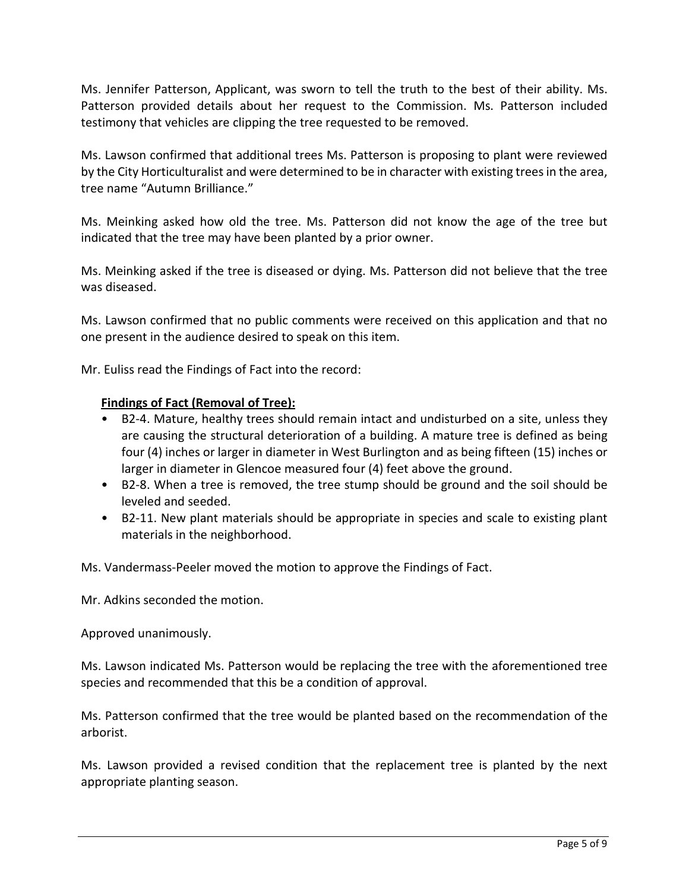Ms. Jennifer Patterson, Applicant, was sworn to tell the truth to the best of their ability. Ms. Patterson provided details about her request to the Commission. Ms. Patterson included testimony that vehicles are clipping the tree requested to be removed.

Ms. Lawson confirmed that additional trees Ms. Patterson is proposing to plant were reviewed by the City Horticulturalist and were determined to be in character with existing trees in the area, tree name "Autumn Brilliance."

Ms. Meinking asked how old the tree. Ms. Patterson did not know the age of the tree but indicated that the tree may have been planted by a prior owner.

Ms. Meinking asked if the tree is diseased or dying. Ms. Patterson did not believe that the tree was diseased.

Ms. Lawson confirmed that no public comments were received on this application and that no one present in the audience desired to speak on this item.

Mr. Euliss read the Findings of Fact into the record:

## **Findings of Fact (Removal of Tree):**

- B2-4. Mature, healthy trees should remain intact and undisturbed on a site, unless they are causing the structural deterioration of a building. A mature tree is defined as being four (4) inches or larger in diameter in West Burlington and as being fifteen (15) inches or larger in diameter in Glencoe measured four (4) feet above the ground.
- B2-8. When a tree is removed, the tree stump should be ground and the soil should be leveled and seeded.
- B2-11. New plant materials should be appropriate in species and scale to existing plant materials in the neighborhood.

Ms. Vandermass-Peeler moved the motion to approve the Findings of Fact.

Mr. Adkins seconded the motion.

Approved unanimously.

Ms. Lawson indicated Ms. Patterson would be replacing the tree with the aforementioned tree species and recommended that this be a condition of approval.

Ms. Patterson confirmed that the tree would be planted based on the recommendation of the arborist.

Ms. Lawson provided a revised condition that the replacement tree is planted by the next appropriate planting season.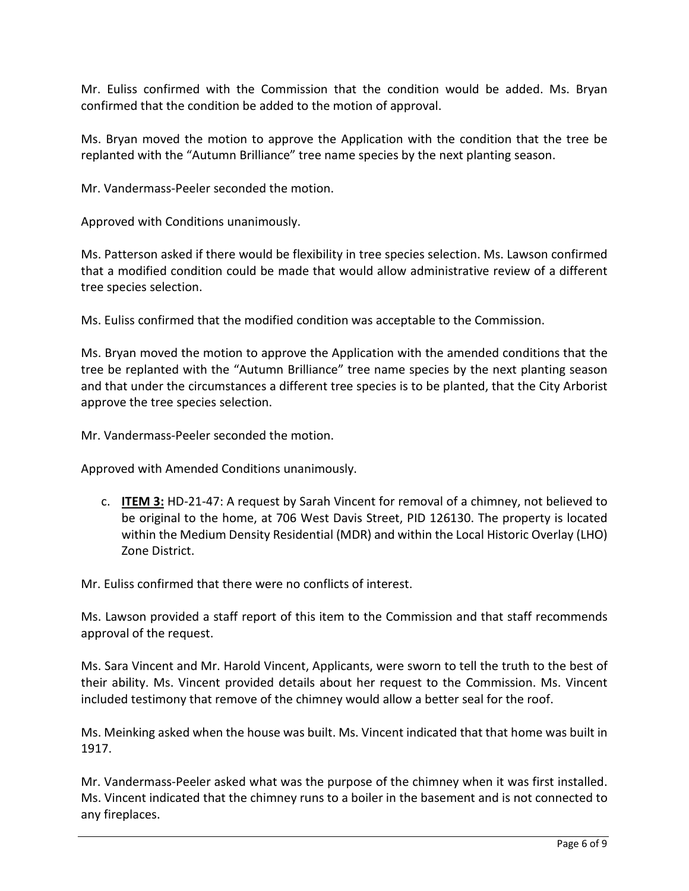Mr. Euliss confirmed with the Commission that the condition would be added. Ms. Bryan confirmed that the condition be added to the motion of approval.

Ms. Bryan moved the motion to approve the Application with the condition that the tree be replanted with the "Autumn Brilliance" tree name species by the next planting season.

Mr. Vandermass-Peeler seconded the motion.

Approved with Conditions unanimously.

Ms. Patterson asked if there would be flexibility in tree species selection. Ms. Lawson confirmed that a modified condition could be made that would allow administrative review of a different tree species selection.

Ms. Euliss confirmed that the modified condition was acceptable to the Commission.

Ms. Bryan moved the motion to approve the Application with the amended conditions that the tree be replanted with the "Autumn Brilliance" tree name species by the next planting season and that under the circumstances a different tree species is to be planted, that the City Arborist approve the tree species selection.

Mr. Vandermass-Peeler seconded the motion.

Approved with Amended Conditions unanimously.

c. **ITEM 3:** HD-21-47: A request by Sarah Vincent for removal of a chimney, not believed to be original to the home, at 706 West Davis Street, PID 126130. The property is located within the Medium Density Residential (MDR) and within the Local Historic Overlay (LHO) Zone District.

Mr. Euliss confirmed that there were no conflicts of interest.

Ms. Lawson provided a staff report of this item to the Commission and that staff recommends approval of the request.

Ms. Sara Vincent and Mr. Harold Vincent, Applicants, were sworn to tell the truth to the best of their ability. Ms. Vincent provided details about her request to the Commission. Ms. Vincent included testimony that remove of the chimney would allow a better seal for the roof.

Ms. Meinking asked when the house was built. Ms. Vincent indicated that that home was built in 1917.

Mr. Vandermass-Peeler asked what was the purpose of the chimney when it was first installed. Ms. Vincent indicated that the chimney runs to a boiler in the basement and is not connected to any fireplaces.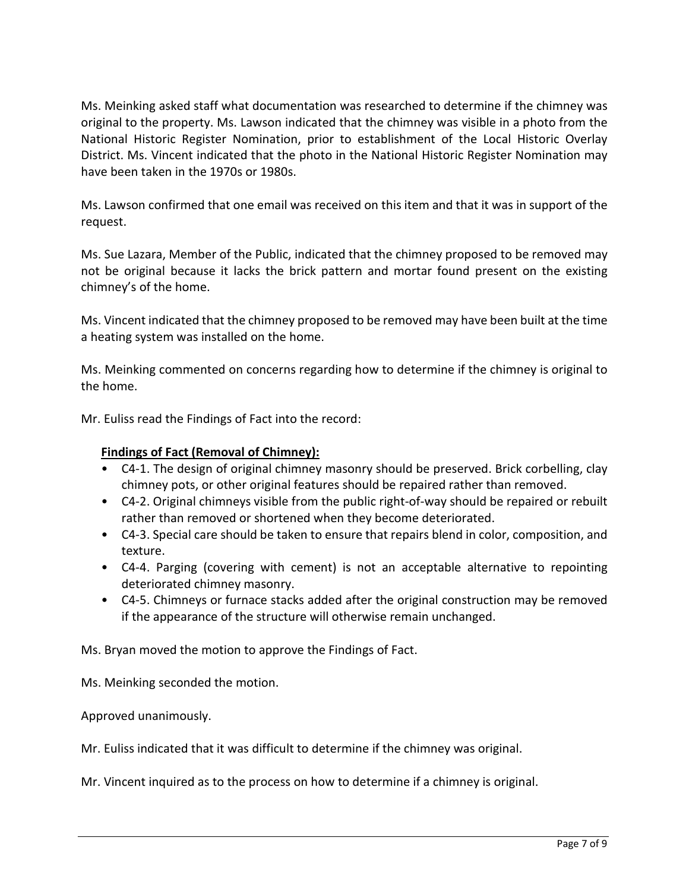Ms. Meinking asked staff what documentation was researched to determine if the chimney was original to the property. Ms. Lawson indicated that the chimney was visible in a photo from the National Historic Register Nomination, prior to establishment of the Local Historic Overlay District. Ms. Vincent indicated that the photo in the National Historic Register Nomination may have been taken in the 1970s or 1980s.

Ms. Lawson confirmed that one email was received on this item and that it was in support of the request.

Ms. Sue Lazara, Member of the Public, indicated that the chimney proposed to be removed may not be original because it lacks the brick pattern and mortar found present on the existing chimney's of the home.

Ms. Vincent indicated that the chimney proposed to be removed may have been built at the time a heating system was installed on the home.

Ms. Meinking commented on concerns regarding how to determine if the chimney is original to the home.

Mr. Euliss read the Findings of Fact into the record:

# **Findings of Fact (Removal of Chimney):**

- C4-1. The design of original chimney masonry should be preserved. Brick corbelling, clay chimney pots, or other original features should be repaired rather than removed.
- C4-2. Original chimneys visible from the public right-of-way should be repaired or rebuilt rather than removed or shortened when they become deteriorated.
- C4-3. Special care should be taken to ensure that repairs blend in color, composition, and texture.
- C4-4. Parging (covering with cement) is not an acceptable alternative to repointing deteriorated chimney masonry.
- C4-5. Chimneys or furnace stacks added after the original construction may be removed if the appearance of the structure will otherwise remain unchanged.

Ms. Bryan moved the motion to approve the Findings of Fact.

Ms. Meinking seconded the motion.

Approved unanimously.

Mr. Euliss indicated that it was difficult to determine if the chimney was original.

Mr. Vincent inquired as to the process on how to determine if a chimney is original.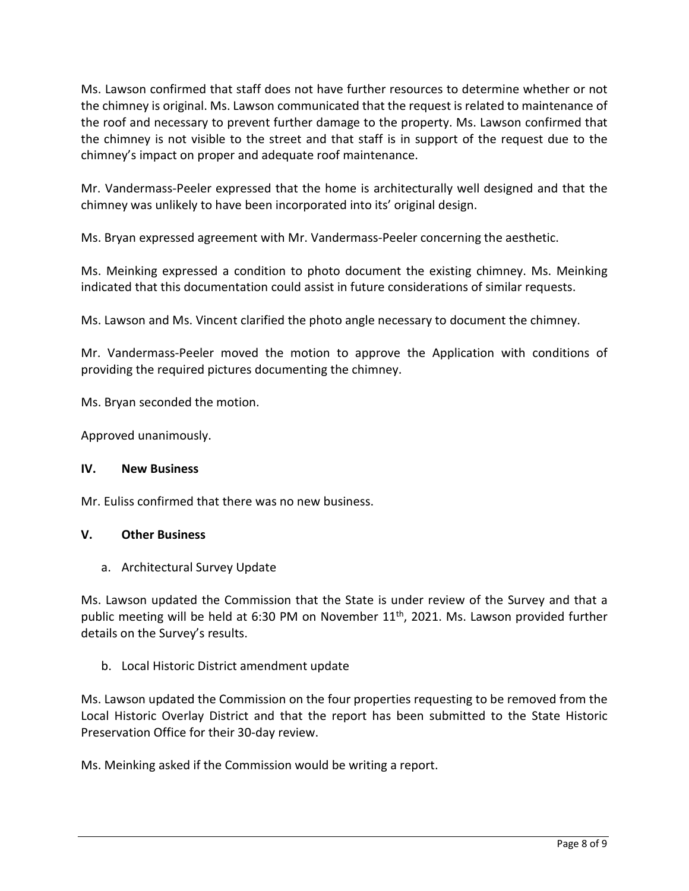Ms. Lawson confirmed that staff does not have further resources to determine whether or not the chimney is original. Ms. Lawson communicated that the request is related to maintenance of the roof and necessary to prevent further damage to the property. Ms. Lawson confirmed that the chimney is not visible to the street and that staff is in support of the request due to the chimney's impact on proper and adequate roof maintenance.

Mr. Vandermass-Peeler expressed that the home is architecturally well designed and that the chimney was unlikely to have been incorporated into its' original design.

Ms. Bryan expressed agreement with Mr. Vandermass-Peeler concerning the aesthetic.

Ms. Meinking expressed a condition to photo document the existing chimney. Ms. Meinking indicated that this documentation could assist in future considerations of similar requests.

Ms. Lawson and Ms. Vincent clarified the photo angle necessary to document the chimney.

Mr. Vandermass-Peeler moved the motion to approve the Application with conditions of providing the required pictures documenting the chimney.

Ms. Bryan seconded the motion.

Approved unanimously.

## **IV. New Business**

Mr. Euliss confirmed that there was no new business.

## **V. Other Business**

a. Architectural Survey Update

Ms. Lawson updated the Commission that the State is under review of the Survey and that a public meeting will be held at 6:30 PM on November 11<sup>th</sup>, 2021. Ms. Lawson provided further details on the Survey's results.

## b. Local Historic District amendment update

Ms. Lawson updated the Commission on the four properties requesting to be removed from the Local Historic Overlay District and that the report has been submitted to the State Historic Preservation Office for their 30-day review.

Ms. Meinking asked if the Commission would be writing a report.